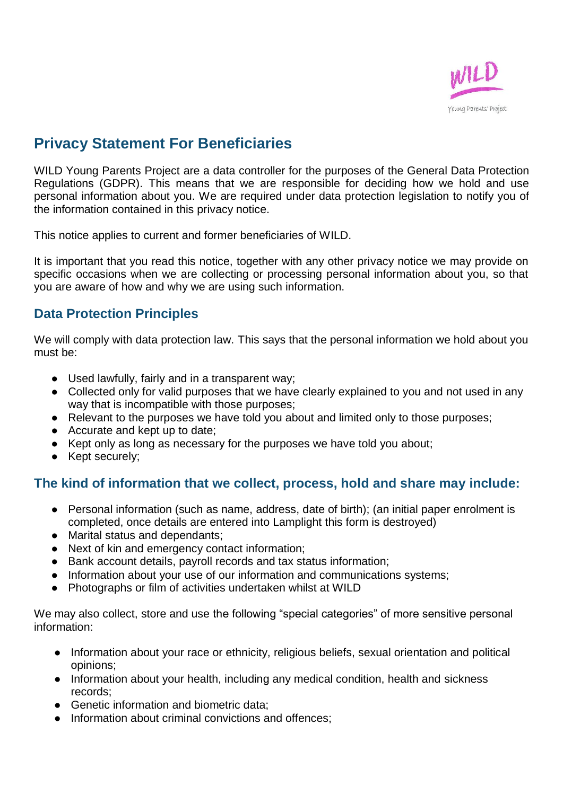

# **Privacy Statement For Beneficiaries**

WILD Young Parents Project are a data controller for the purposes of the General Data Protection Regulations (GDPR). This means that we are responsible for deciding how we hold and use personal information about you. We are required under data protection legislation to notify you of the information contained in this privacy notice.

This notice applies to current and former beneficiaries of WILD.

It is important that you read this notice, together with any other privacy notice we may provide on specific occasions when we are collecting or processing personal information about you, so that you are aware of how and why we are using such information.

## **Data Protection Principles**

We will comply with data protection law. This says that the personal information we hold about you must be:

- Used lawfully, fairly and in a transparent way;
- Collected only for valid purposes that we have clearly explained to you and not used in any way that is incompatible with those purposes;
- Relevant to the purposes we have told you about and limited only to those purposes;
- Accurate and kept up to date:
- Kept only as long as necessary for the purposes we have told you about;
- Kept securely;

#### **The kind of information that we collect, process, hold and share may include:**

- Personal information (such as name, address, date of birth); (an initial paper enrolment is completed, once details are entered into Lamplight this form is destroyed)
- Marital status and dependants;
- Next of kin and emergency contact information;
- Bank account details, payroll records and tax status information;
- Information about your use of our information and communications systems;
- Photographs or film of activities undertaken whilst at WILD

We may also collect, store and use the following "special categories" of more sensitive personal information:

- Information about your race or ethnicity, religious beliefs, sexual orientation and political opinions;
- Information about your health, including any medical condition, health and sickness records;
- Genetic information and biometric data:
- Information about criminal convictions and offences: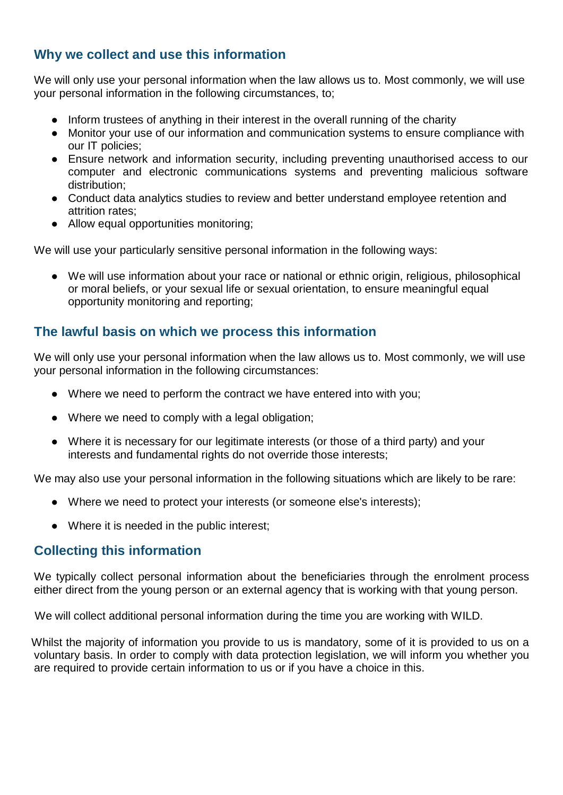# **Why we collect and use this information**

We will only use your personal information when the law allows us to. Most commonly, we will use your personal information in the following circumstances, to;

- Inform trustees of anything in their interest in the overall running of the charity
- Monitor your use of our information and communication systems to ensure compliance with our IT policies;
- Ensure network and information security, including preventing unauthorised access to our computer and electronic communications systems and preventing malicious software distribution;
- Conduct data analytics studies to review and better understand employee retention and attrition rates;
- Allow equal opportunities monitoring;

We will use your particularly sensitive personal information in the following ways:

● We will use information about your race or national or ethnic origin, religious, philosophical or moral beliefs, or your sexual life or sexual orientation, to ensure meaningful equal opportunity monitoring and reporting;

# **The lawful basis on which we process this information**

We will only use your personal information when the law allows us to. Most commonly, we will use your personal information in the following circumstances:

- Where we need to perform the contract we have entered into with you;
- Where we need to comply with a legal obligation;
- Where it is necessary for our legitimate interests (or those of a third party) and your interests and fundamental rights do not override those interests;

We may also use your personal information in the following situations which are likely to be rare:

- Where we need to protect your interests (or someone else's interests);
- Where it is needed in the public interest;

## **Collecting this information**

We typically collect personal information about the beneficiaries through the enrolment process either direct from the young person or an external agency that is working with that young person.

We will collect additional personal information during the time you are working with WILD.

Whilst the majority of information you provide to us is mandatory, some of it is provided to us on a voluntary basis. In order to comply with data protection legislation, we will inform you whether you are required to provide certain information to us or if you have a choice in this.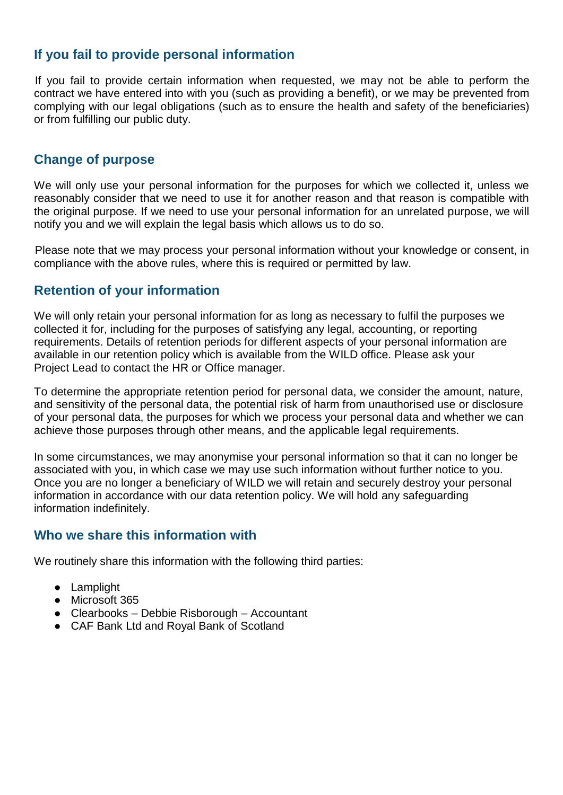#### **If you fail to provide personal information**

If you fail to provide certain information when requested, we may not be able to perform the contract we have entered into with you (such as providing a benefit), or we may be prevented from complying with our legal obligations (such as to ensure the health and safety of the beneficiaries) or from fulfilling our public duty.

## **Change of purpose**

We will only use your personal information for the purposes for which we collected it, unless we reasonably consider that we need to use it for another reason and that reason is compatible with the original purpose. If we need to use your personal information for an unrelated purpose, we will notify you and we will explain the legal basis which allows us to do so.

Please note that we may process your personal information without your knowledge or consent, in compliance with the above rules, where this is required or permitted by law.

## **Retention of your information**

We will only retain your personal information for as long as necessary to fulfil the purposes we collected it for, including for the purposes of satisfying any legal, accounting, or reporting requirements. Details of retention periods for different aspects of your personal information are available in our retention policy which is available from the WILD office. Please ask your Project Lead to contact the HR or Office manager.

To determine the appropriate retention period for personal data, we consider the amount, nature, and sensitivity of the personal data, the potential risk of harm from unauthorised use or disclosure of your personal data, the purposes for which we process your personal data and whether we can achieve those purposes through other means, and the applicable legal requirements.

In some circumstances, we may anonymise your personal information so that it can no longer be associated with you, in which case we may use such information without further notice to you. Once you are no longer a beneficiary of WILD we will retain and securely destroy your personal information in accordance with our data retention policy. We will hold any safeguarding information indefinitely.

#### **Who we share this information with**

We routinely share this information with the following third parties:

- Lamplight
- Microsoft 365
- Clearbooks Debbie Risborough Accountant
- CAF Bank Ltd and Royal Bank of Scotland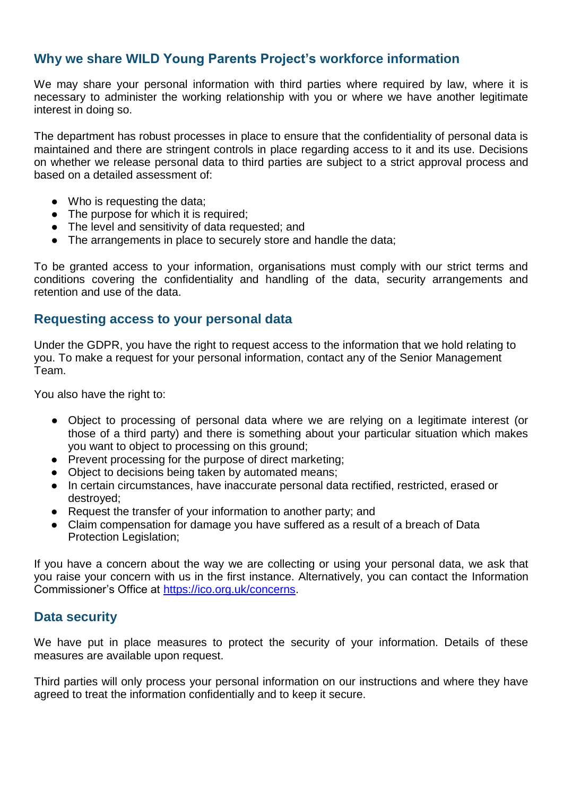## **Why we share WILD Young Parents Project's workforce information**

We may share your personal information with third parties where required by law, where it is necessary to administer the working relationship with you or where we have another legitimate interest in doing so.

The department has robust processes in place to ensure that the confidentiality of personal data is maintained and there are stringent controls in place regarding access to it and its use. Decisions on whether we release personal data to third parties are subject to a strict approval process and based on a detailed assessment of:

- Who is requesting the data;
- The purpose for which it is required;
- The level and sensitivity of data requested; and
- The arrangements in place to securely store and handle the data;

To be granted access to your information, organisations must comply with our strict terms and conditions covering the confidentiality and handling of the data, security arrangements and retention and use of the data.

#### **Requesting access to your personal data**

Under the GDPR, you have the right to request access to the information that we hold relating to you. To make a request for your personal information, contact any of the Senior Management Team.

You also have the right to:

- Object to processing of personal data where we are relying on a legitimate interest (or those of a third party) and there is something about your particular situation which makes you want to object to processing on this ground;
- Prevent processing for the purpose of direct marketing;
- Object to decisions being taken by automated means;
- In certain circumstances, have inaccurate personal data rectified, restricted, erased or destroyed;
- Request the transfer of your information to another party; and
- Claim compensation for damage you have suffered as a result of a breach of Data Protection Legislation;

If you have a concern about the way we are collecting or using your personal data, we ask that you raise your concern with us in the first instance. Alternatively, you can contact the Information Commissioner's Office at [https://ico.org.uk/concerns.](https://ico.org.uk/concerns)

#### **Data security**

We have put in place measures to protect the security of your information. Details of these measures are available upon request.

Third parties will only process your personal information on our instructions and where they have agreed to treat the information confidentially and to keep it secure.